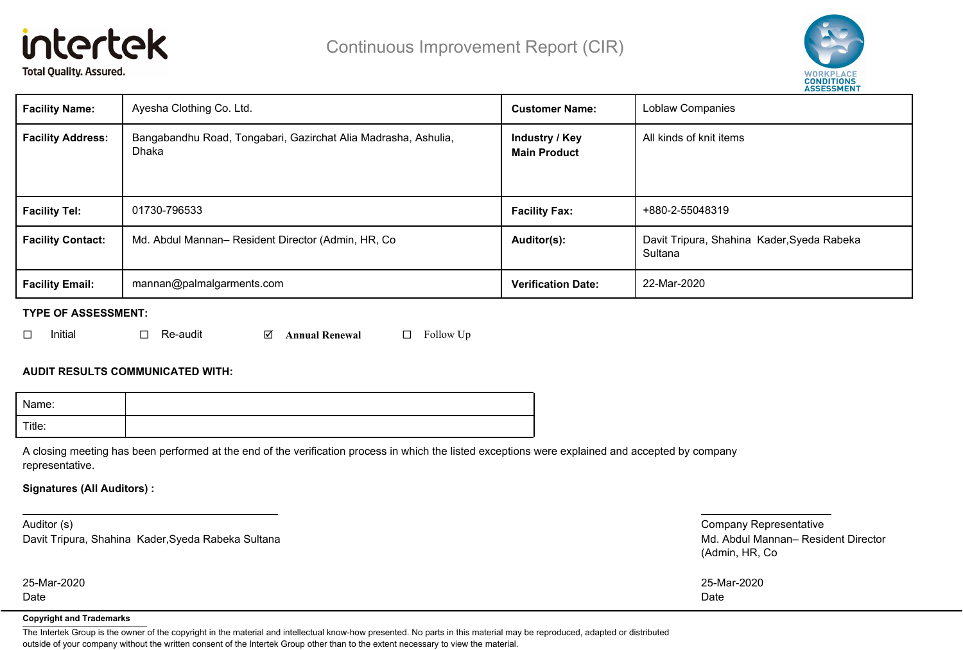# intertek **Total Quality. Assured.**



| <b>Facility Name:</b>    | Ayesha Clothing Co. Ltd.                                                | <b>Customer Name:</b>     | Loblaw Companies                                      |
|--------------------------|-------------------------------------------------------------------------|---------------------------|-------------------------------------------------------|
| <b>Facility Address:</b> | Bangabandhu Road, Tongabari, Gazirchat Alia Madrasha, Ashulia,<br>Dhaka |                           | All kinds of knit items                               |
| <b>Facility Tel:</b>     | 01730-796533                                                            | <b>Facility Fax:</b>      | +880-2-55048319                                       |
| <b>Facility Contact:</b> | Md. Abdul Mannan- Resident Director (Admin, HR, Co.                     | Auditor(s):               | Davit Tripura, Shahina Kader, Syeda Rabeka<br>Sultana |
| <b>Facility Email:</b>   | mannan@palmalgarments.com                                               | <b>Verification Date:</b> | 22-Mar-2020                                           |

## **TYPE OF ASSESSMENT:**

|  | Initial |  | $\Box$ Re-audit |  | $\boxtimes$ Annual Renewal |  | $\Box$ Follow Up |
|--|---------|--|-----------------|--|----------------------------|--|------------------|
|--|---------|--|-----------------|--|----------------------------|--|------------------|

# **AUDIT RESULTS COMMUNICATED WITH:**

| Name:  |  |
|--------|--|
| Title: |  |

A closing meeting has been performed at the end of the verification process in which the listed exceptions were explained and accepted by company representative.

## **Signatures (All Auditors) :**

Auditor (s) Davit Tripura, Shahina Kader,Syeda Rabeka Sultana

Date

Company Representative Md. Abdul Mannan– Resident Director (Admin, HR, Co

| 25-Mar-2020 | 25-Mar-2020 |
|-------------|-------------|
| Date        | Date        |

#### **Copyright and Trademarks**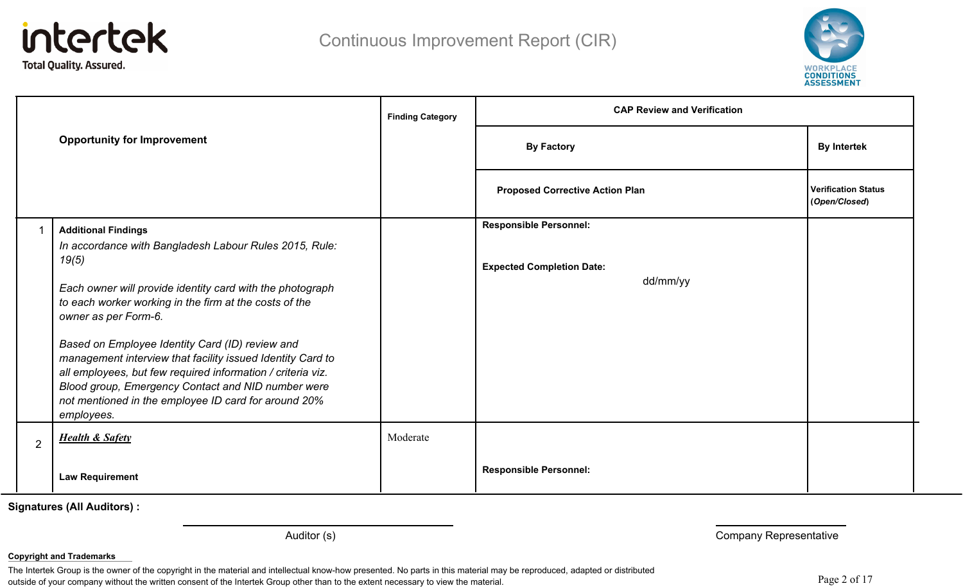



|                |                                                                                                                   | <b>Finding Category</b> | <b>CAP Review and Verification</b>     |                                             |  |
|----------------|-------------------------------------------------------------------------------------------------------------------|-------------------------|----------------------------------------|---------------------------------------------|--|
|                | <b>Opportunity for Improvement</b>                                                                                |                         | <b>By Factory</b>                      | <b>By Intertek</b>                          |  |
|                |                                                                                                                   |                         | <b>Proposed Corrective Action Plan</b> | <b>Verification Status</b><br>(Open/Closed) |  |
| 1              | <b>Additional Findings</b>                                                                                        |                         | <b>Responsible Personnel:</b>          |                                             |  |
|                | In accordance with Bangladesh Labour Rules 2015, Rule:                                                            |                         |                                        |                                             |  |
|                | 19(5)                                                                                                             |                         | <b>Expected Completion Date:</b>       |                                             |  |
|                | Each owner will provide identity card with the photograph                                                         |                         | dd/mm/yy                               |                                             |  |
|                | to each worker working in the firm at the costs of the                                                            |                         |                                        |                                             |  |
|                | owner as per Form-6.                                                                                              |                         |                                        |                                             |  |
|                | Based on Employee Identity Card (ID) review and                                                                   |                         |                                        |                                             |  |
|                | management interview that facility issued Identity Card to                                                        |                         |                                        |                                             |  |
|                | all employees, but few required information / criteria viz.<br>Blood group, Emergency Contact and NID number were |                         |                                        |                                             |  |
|                | not mentioned in the employee ID card for around 20%                                                              |                         |                                        |                                             |  |
|                | employees.                                                                                                        |                         |                                        |                                             |  |
| $\overline{2}$ | <b>Health &amp; Safety</b>                                                                                        | Moderate                |                                        |                                             |  |
|                |                                                                                                                   |                         |                                        |                                             |  |
|                | <b>Law Requirement</b>                                                                                            |                         | <b>Responsible Personnel:</b>          |                                             |  |

Auditor (s) **Auditor (s)** Company Representative

#### **Copyright and Trademarks**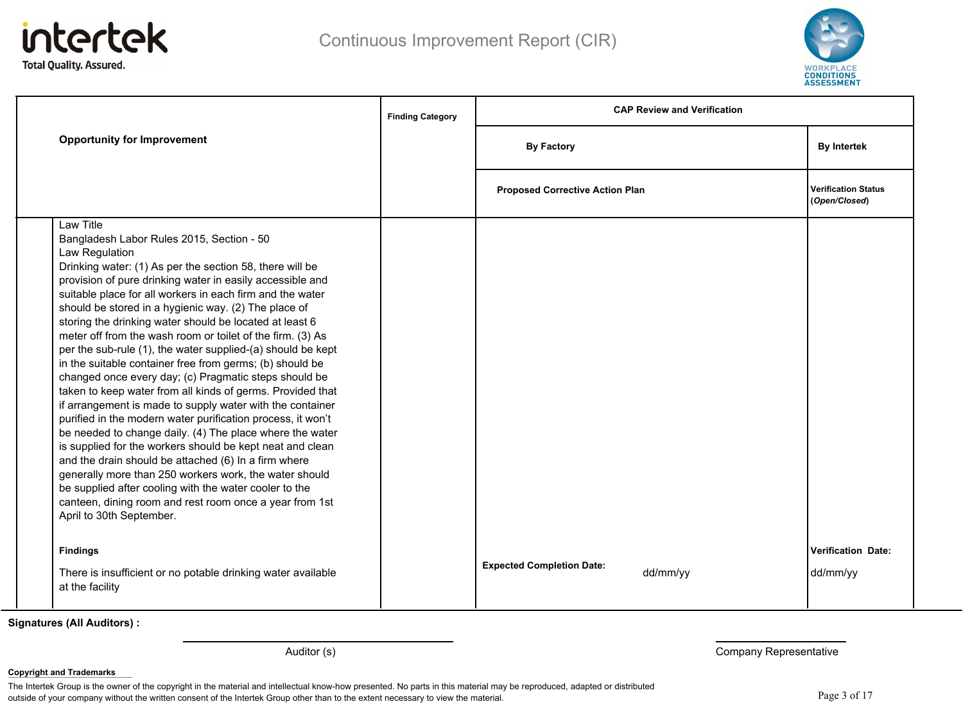



|                                                                                                                                                                                                                                                                                                                                                                                                                                                                                                                                                                                                                                                                                                                                                                                                                                                                                                                                                                                                                                                                                                                                                                                                                           | <b>Finding Category</b> | <b>CAP Review and Verification</b>           |                                             |
|---------------------------------------------------------------------------------------------------------------------------------------------------------------------------------------------------------------------------------------------------------------------------------------------------------------------------------------------------------------------------------------------------------------------------------------------------------------------------------------------------------------------------------------------------------------------------------------------------------------------------------------------------------------------------------------------------------------------------------------------------------------------------------------------------------------------------------------------------------------------------------------------------------------------------------------------------------------------------------------------------------------------------------------------------------------------------------------------------------------------------------------------------------------------------------------------------------------------------|-------------------------|----------------------------------------------|---------------------------------------------|
| <b>Opportunity for Improvement</b>                                                                                                                                                                                                                                                                                                                                                                                                                                                                                                                                                                                                                                                                                                                                                                                                                                                                                                                                                                                                                                                                                                                                                                                        |                         | <b>By Factory</b>                            | <b>By Intertek</b>                          |
|                                                                                                                                                                                                                                                                                                                                                                                                                                                                                                                                                                                                                                                                                                                                                                                                                                                                                                                                                                                                                                                                                                                                                                                                                           |                         | <b>Proposed Corrective Action Plan</b>       | <b>Verification Status</b><br>(Open/Closed) |
| Law Title<br>Bangladesh Labor Rules 2015, Section - 50<br>Law Regulation<br>Drinking water: (1) As per the section 58, there will be<br>provision of pure drinking water in easily accessible and<br>suitable place for all workers in each firm and the water<br>should be stored in a hygienic way. (2) The place of<br>storing the drinking water should be located at least 6<br>meter off from the wash room or toilet of the firm. (3) As<br>per the sub-rule (1), the water supplied-(a) should be kept<br>in the suitable container free from germs; (b) should be<br>changed once every day; (c) Pragmatic steps should be<br>taken to keep water from all kinds of germs. Provided that<br>if arrangement is made to supply water with the container<br>purified in the modern water purification process, it won't<br>be needed to change daily. (4) The place where the water<br>is supplied for the workers should be kept neat and clean<br>and the drain should be attached (6) In a firm where<br>generally more than 250 workers work, the water should<br>be supplied after cooling with the water cooler to the<br>canteen, dining room and rest room once a year from 1st<br>April to 30th September. |                         |                                              |                                             |
| <b>Findings</b><br>There is insufficient or no potable drinking water available<br>at the facility                                                                                                                                                                                                                                                                                                                                                                                                                                                                                                                                                                                                                                                                                                                                                                                                                                                                                                                                                                                                                                                                                                                        |                         | <b>Expected Completion Date:</b><br>dd/mm/yy | <b>Verification Date:</b><br>dd/mm/yy       |

Auditor (s) **Auditor (s)** Company Representative

#### **Copyright and Trademarks**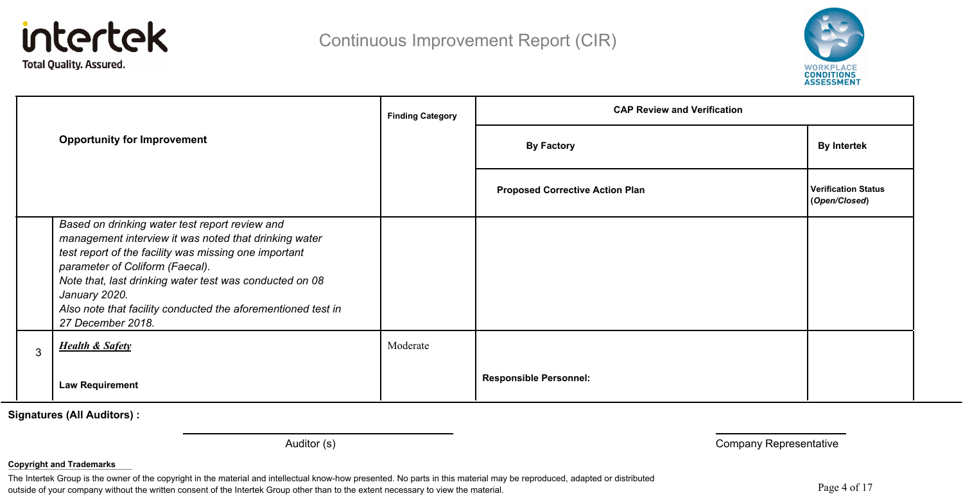



|  | <b>Finding Category</b><br><b>Opportunity for Improvement</b>                                                                                                                                                                                                                                                                                                        |          | <b>CAP Review and Verification</b>     |                                      |
|--|----------------------------------------------------------------------------------------------------------------------------------------------------------------------------------------------------------------------------------------------------------------------------------------------------------------------------------------------------------------------|----------|----------------------------------------|--------------------------------------|
|  |                                                                                                                                                                                                                                                                                                                                                                      |          | <b>By Factory</b>                      | <b>By Intertek</b>                   |
|  |                                                                                                                                                                                                                                                                                                                                                                      |          | <b>Proposed Corrective Action Plan</b> | Verification Status<br>(Open/Closed) |
|  | Based on drinking water test report review and<br>management interview it was noted that drinking water<br>test report of the facility was missing one important<br>parameter of Coliform (Faecal).<br>Note that, last drinking water test was conducted on 08<br>January 2020.<br>Also note that facility conducted the aforementioned test in<br>27 December 2018. |          |                                        |                                      |
|  | <b>Health &amp; Safety</b>                                                                                                                                                                                                                                                                                                                                           | Moderate |                                        |                                      |
|  | <b>Law Requirement</b>                                                                                                                                                                                                                                                                                                                                               |          | <b>Responsible Personnel:</b>          |                                      |

Auditor (s) **Auditor (s)** Company Representative

#### **Copyright and Trademarks**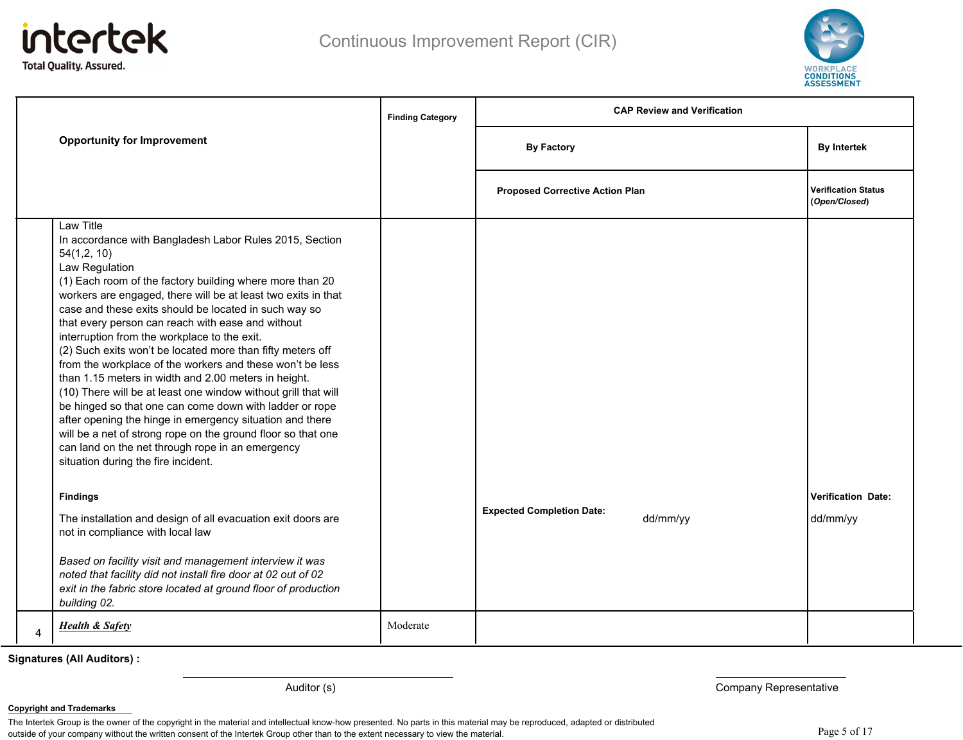



|                                                                                                                                                                                                                                                                                                                                                                                                                                                                                                                                                                                                                                                                                                                                                                                                                                                                                                                                                                                                                                                                                                                                                                                                                                                                              | <b>Finding Category</b> | <b>CAP Review and Verification</b>           |                                             |  |
|------------------------------------------------------------------------------------------------------------------------------------------------------------------------------------------------------------------------------------------------------------------------------------------------------------------------------------------------------------------------------------------------------------------------------------------------------------------------------------------------------------------------------------------------------------------------------------------------------------------------------------------------------------------------------------------------------------------------------------------------------------------------------------------------------------------------------------------------------------------------------------------------------------------------------------------------------------------------------------------------------------------------------------------------------------------------------------------------------------------------------------------------------------------------------------------------------------------------------------------------------------------------------|-------------------------|----------------------------------------------|---------------------------------------------|--|
| <b>Opportunity for Improvement</b>                                                                                                                                                                                                                                                                                                                                                                                                                                                                                                                                                                                                                                                                                                                                                                                                                                                                                                                                                                                                                                                                                                                                                                                                                                           |                         | <b>By Factory</b>                            | <b>By Intertek</b>                          |  |
|                                                                                                                                                                                                                                                                                                                                                                                                                                                                                                                                                                                                                                                                                                                                                                                                                                                                                                                                                                                                                                                                                                                                                                                                                                                                              |                         | <b>Proposed Corrective Action Plan</b>       | <b>Verification Status</b><br>(Open/Closed) |  |
| Law Title<br>In accordance with Bangladesh Labor Rules 2015, Section<br>54(1,2, 10)<br>Law Regulation<br>(1) Each room of the factory building where more than 20<br>workers are engaged, there will be at least two exits in that<br>case and these exits should be located in such way so<br>that every person can reach with ease and without<br>interruption from the workplace to the exit.<br>(2) Such exits won't be located more than fifty meters off<br>from the workplace of the workers and these won't be less<br>than 1.15 meters in width and 2.00 meters in height.<br>(10) There will be at least one window without grill that will<br>be hinged so that one can come down with ladder or rope<br>after opening the hinge in emergency situation and there<br>will be a net of strong rope on the ground floor so that one<br>can land on the net through rope in an emergency<br>situation during the fire incident.<br><b>Findings</b><br>The installation and design of all evacuation exit doors are<br>not in compliance with local law<br>Based on facility visit and management interview it was<br>noted that facility did not install fire door at 02 out of 02<br>exit in the fabric store located at ground floor of production<br>building 02. |                         | <b>Expected Completion Date:</b><br>dd/mm/yy | <b>Verification Date:</b><br>dd/mm/yy       |  |
| <b>Health &amp; Safety</b>                                                                                                                                                                                                                                                                                                                                                                                                                                                                                                                                                                                                                                                                                                                                                                                                                                                                                                                                                                                                                                                                                                                                                                                                                                                   | Moderate                |                                              |                                             |  |

Auditor (s) **Auditor (s)** Company Representative

#### **Copyright and Trademarks**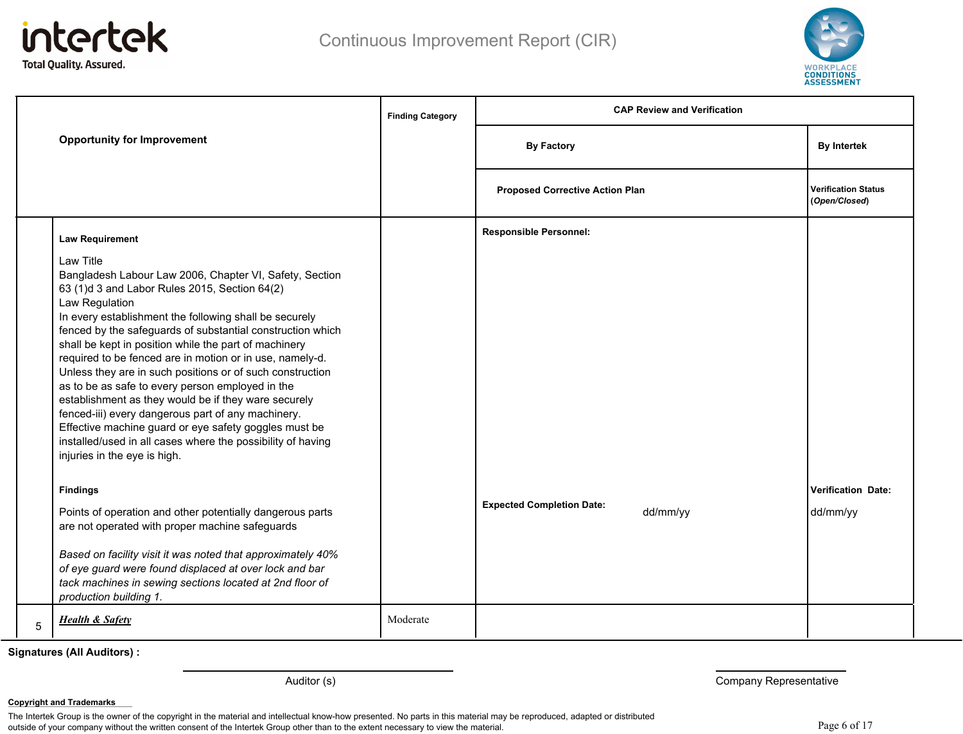



|   | <b>Finding Category</b><br><b>Opportunity for Improvement</b>                                                                                                                                                                                                                                                                                                                                                                                                                                                                                                                                                                                                                                                                                                                                                                                                                                                  |          | <b>CAP Review and Verification</b>           |                                             |  |
|---|----------------------------------------------------------------------------------------------------------------------------------------------------------------------------------------------------------------------------------------------------------------------------------------------------------------------------------------------------------------------------------------------------------------------------------------------------------------------------------------------------------------------------------------------------------------------------------------------------------------------------------------------------------------------------------------------------------------------------------------------------------------------------------------------------------------------------------------------------------------------------------------------------------------|----------|----------------------------------------------|---------------------------------------------|--|
|   |                                                                                                                                                                                                                                                                                                                                                                                                                                                                                                                                                                                                                                                                                                                                                                                                                                                                                                                |          | <b>By Factory</b>                            | <b>By Intertek</b>                          |  |
|   |                                                                                                                                                                                                                                                                                                                                                                                                                                                                                                                                                                                                                                                                                                                                                                                                                                                                                                                |          | <b>Proposed Corrective Action Plan</b>       | <b>Verification Status</b><br>(Open/Closed) |  |
|   | <b>Law Requirement</b>                                                                                                                                                                                                                                                                                                                                                                                                                                                                                                                                                                                                                                                                                                                                                                                                                                                                                         |          | <b>Responsible Personnel:</b>                |                                             |  |
|   | Law Title<br>Bangladesh Labour Law 2006, Chapter VI, Safety, Section<br>63 (1)d 3 and Labor Rules 2015, Section 64(2)<br>Law Regulation<br>In every establishment the following shall be securely<br>fenced by the safeguards of substantial construction which<br>shall be kept in position while the part of machinery<br>required to be fenced are in motion or in use, namely-d.<br>Unless they are in such positions or of such construction<br>as to be as safe to every person employed in the<br>establishment as they would be if they ware securely<br>fenced-iii) every dangerous part of any machinery.<br>Effective machine guard or eye safety goggles must be<br>installed/used in all cases where the possibility of having<br>injuries in the eye is high.<br><b>Findings</b><br>Points of operation and other potentially dangerous parts<br>are not operated with proper machine safeguards |          | <b>Expected Completion Date:</b><br>dd/mm/yy | <b>Verification Date:</b><br>dd/mm/yy       |  |
|   | Based on facility visit it was noted that approximately 40%<br>of eye guard were found displaced at over lock and bar<br>tack machines in sewing sections located at 2nd floor of<br>production building 1.                                                                                                                                                                                                                                                                                                                                                                                                                                                                                                                                                                                                                                                                                                    |          |                                              |                                             |  |
| 5 | <b>Health &amp; Safety</b>                                                                                                                                                                                                                                                                                                                                                                                                                                                                                                                                                                                                                                                                                                                                                                                                                                                                                     | Moderate |                                              |                                             |  |

Auditor (s) **Auditor (s)** Company Representative

#### **Copyright and Trademarks**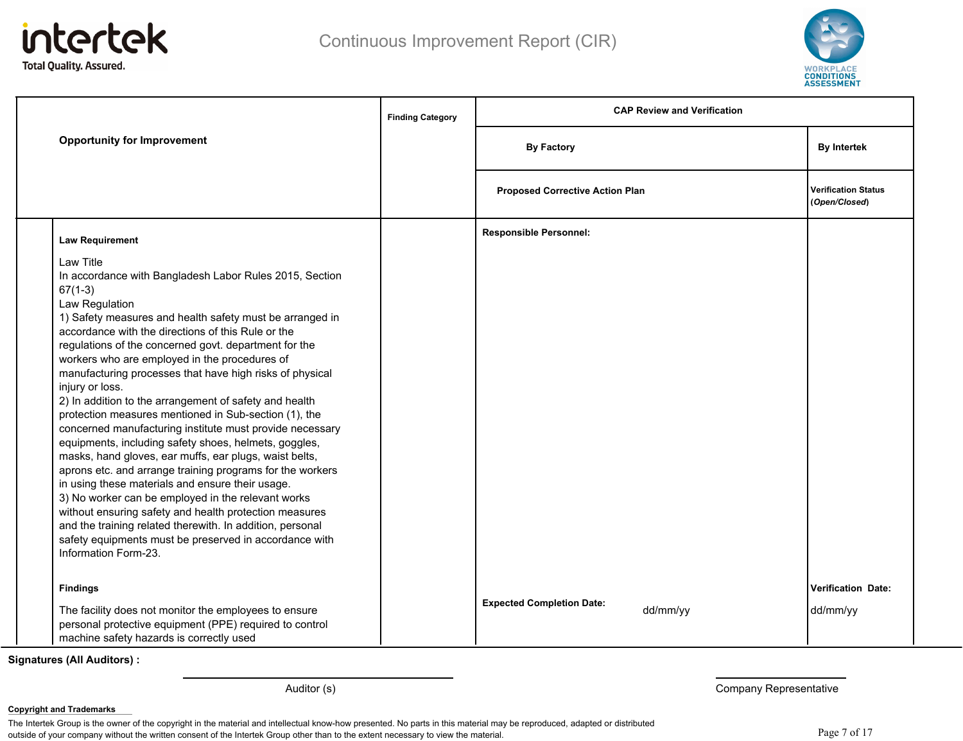



|                                                                                                                                                                                                                                                                                                                                                                                                                                                                                                                                                                                                                                                                                                                                                                                                                                                                                                                                                                                                                                                                                                         | <b>Finding Category</b> | <b>CAP Review and Verification</b>     |          |                                             |
|---------------------------------------------------------------------------------------------------------------------------------------------------------------------------------------------------------------------------------------------------------------------------------------------------------------------------------------------------------------------------------------------------------------------------------------------------------------------------------------------------------------------------------------------------------------------------------------------------------------------------------------------------------------------------------------------------------------------------------------------------------------------------------------------------------------------------------------------------------------------------------------------------------------------------------------------------------------------------------------------------------------------------------------------------------------------------------------------------------|-------------------------|----------------------------------------|----------|---------------------------------------------|
| <b>Opportunity for Improvement</b>                                                                                                                                                                                                                                                                                                                                                                                                                                                                                                                                                                                                                                                                                                                                                                                                                                                                                                                                                                                                                                                                      |                         | <b>By Factory</b>                      |          | <b>By Intertek</b>                          |
|                                                                                                                                                                                                                                                                                                                                                                                                                                                                                                                                                                                                                                                                                                                                                                                                                                                                                                                                                                                                                                                                                                         |                         | <b>Proposed Corrective Action Plan</b> |          | <b>Verification Status</b><br>(Open/Closed) |
| <b>Law Requirement</b>                                                                                                                                                                                                                                                                                                                                                                                                                                                                                                                                                                                                                                                                                                                                                                                                                                                                                                                                                                                                                                                                                  |                         | <b>Responsible Personnel:</b>          |          |                                             |
| <b>Law Title</b><br>In accordance with Bangladesh Labor Rules 2015, Section<br>$67(1-3)$<br>Law Regulation<br>1) Safety measures and health safety must be arranged in<br>accordance with the directions of this Rule or the<br>regulations of the concerned govt. department for the<br>workers who are employed in the procedures of<br>manufacturing processes that have high risks of physical<br>injury or loss.<br>2) In addition to the arrangement of safety and health<br>protection measures mentioned in Sub-section (1), the<br>concerned manufacturing institute must provide necessary<br>equipments, including safety shoes, helmets, goggles,<br>masks, hand gloves, ear muffs, ear plugs, waist belts,<br>aprons etc. and arrange training programs for the workers<br>in using these materials and ensure their usage.<br>3) No worker can be employed in the relevant works<br>without ensuring safety and health protection measures<br>and the training related therewith. In addition, personal<br>safety equipments must be preserved in accordance with<br>Information Form-23. |                         |                                        |          |                                             |
| <b>Findings</b>                                                                                                                                                                                                                                                                                                                                                                                                                                                                                                                                                                                                                                                                                                                                                                                                                                                                                                                                                                                                                                                                                         |                         | <b>Expected Completion Date:</b>       |          | <b>Verification Date:</b>                   |
| The facility does not monitor the employees to ensure<br>personal protective equipment (PPE) required to control<br>machine safety hazards is correctly used                                                                                                                                                                                                                                                                                                                                                                                                                                                                                                                                                                                                                                                                                                                                                                                                                                                                                                                                            |                         |                                        | dd/mm/yy | dd/mm/yy                                    |

Auditor (s) **Auditor (s)** Company Representative

**Copyright and Trademarks**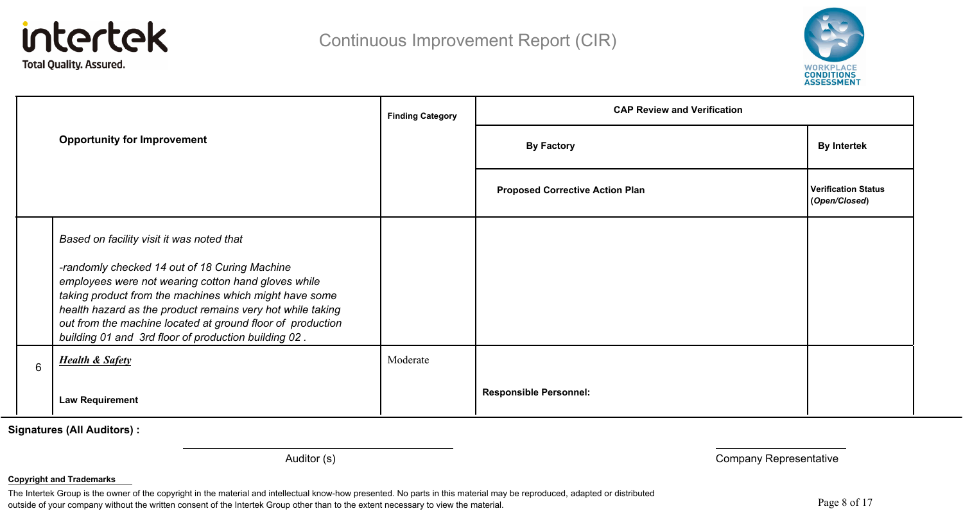



|   | <b>Finding Category</b><br><b>Opportunity for Improvement</b>                                                                                                                                                                                                                                                                                                                                   |          | <b>CAP Review and Verification</b>     |                                             |  |
|---|-------------------------------------------------------------------------------------------------------------------------------------------------------------------------------------------------------------------------------------------------------------------------------------------------------------------------------------------------------------------------------------------------|----------|----------------------------------------|---------------------------------------------|--|
|   |                                                                                                                                                                                                                                                                                                                                                                                                 |          | <b>By Factory</b>                      | <b>By Intertek</b>                          |  |
|   |                                                                                                                                                                                                                                                                                                                                                                                                 |          | <b>Proposed Corrective Action Plan</b> | <b>Verification Status</b><br>(Open/Closed) |  |
|   | Based on facility visit it was noted that<br>-randomly checked 14 out of 18 Curing Machine<br>employees were not wearing cotton hand gloves while<br>taking product from the machines which might have some<br>health hazard as the product remains very hot while taking<br>out from the machine located at ground floor of production<br>building 01 and 3rd floor of production building 02. |          |                                        |                                             |  |
| 6 | <b>Health &amp; Safety</b>                                                                                                                                                                                                                                                                                                                                                                      | Moderate |                                        |                                             |  |
|   | <b>Law Requirement</b>                                                                                                                                                                                                                                                                                                                                                                          |          | <b>Responsible Personnel:</b>          |                                             |  |

Auditor (s) **Auditor (s)** Company Representative

#### **Copyright and Trademarks**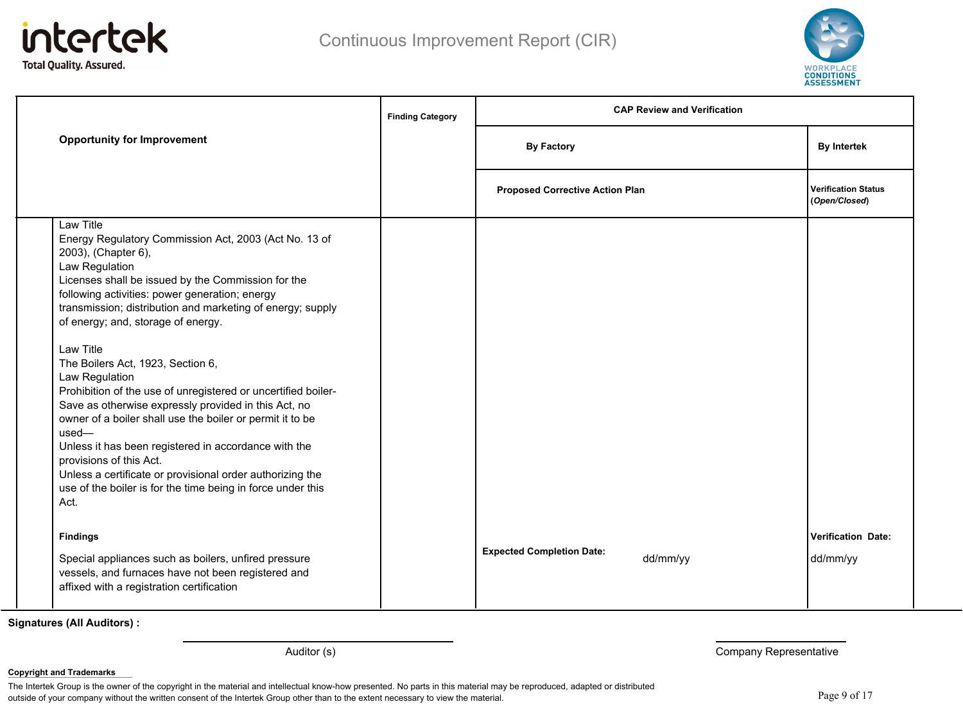



|                                                                                                                                                                                                                                                                                                                                                                                                                                                                                                                                                                                                                                                                                                                                                                                                                     | <b>Finding Category</b> | <b>CAP Review and Verification</b>           |                                             |  |
|---------------------------------------------------------------------------------------------------------------------------------------------------------------------------------------------------------------------------------------------------------------------------------------------------------------------------------------------------------------------------------------------------------------------------------------------------------------------------------------------------------------------------------------------------------------------------------------------------------------------------------------------------------------------------------------------------------------------------------------------------------------------------------------------------------------------|-------------------------|----------------------------------------------|---------------------------------------------|--|
| <b>Opportunity for Improvement</b>                                                                                                                                                                                                                                                                                                                                                                                                                                                                                                                                                                                                                                                                                                                                                                                  |                         | <b>By Factory</b>                            | <b>By Intertek</b>                          |  |
|                                                                                                                                                                                                                                                                                                                                                                                                                                                                                                                                                                                                                                                                                                                                                                                                                     |                         | <b>Proposed Corrective Action Plan</b>       | <b>Verification Status</b><br>(Open/Closed) |  |
| Law Title<br>Energy Regulatory Commission Act, 2003 (Act No. 13 of<br>2003), (Chapter 6),<br>Law Regulation<br>Licenses shall be issued by the Commission for the<br>following activities: power generation; energy<br>transmission; distribution and marketing of energy; supply<br>of energy; and, storage of energy.<br>Law Title<br>The Boilers Act, 1923, Section 6,<br>Law Regulation<br>Prohibition of the use of unregistered or uncertified boiler-<br>Save as otherwise expressly provided in this Act, no<br>owner of a boiler shall use the boiler or permit it to be<br>$used-$<br>Unless it has been registered in accordance with the<br>provisions of this Act.<br>Unless a certificate or provisional order authorizing the<br>use of the boiler is for the time being in force under this<br>Act. |                         |                                              |                                             |  |
| <b>Findings</b><br>Special appliances such as boilers, unfired pressure<br>vessels, and furnaces have not been registered and<br>affixed with a registration certification                                                                                                                                                                                                                                                                                                                                                                                                                                                                                                                                                                                                                                          |                         | <b>Expected Completion Date:</b><br>dd/mm/yy | Verification Date:<br>dd/mm/yy              |  |

Auditor (s) **Auditor (s)** Company Representative

**Copyright and Trademarks**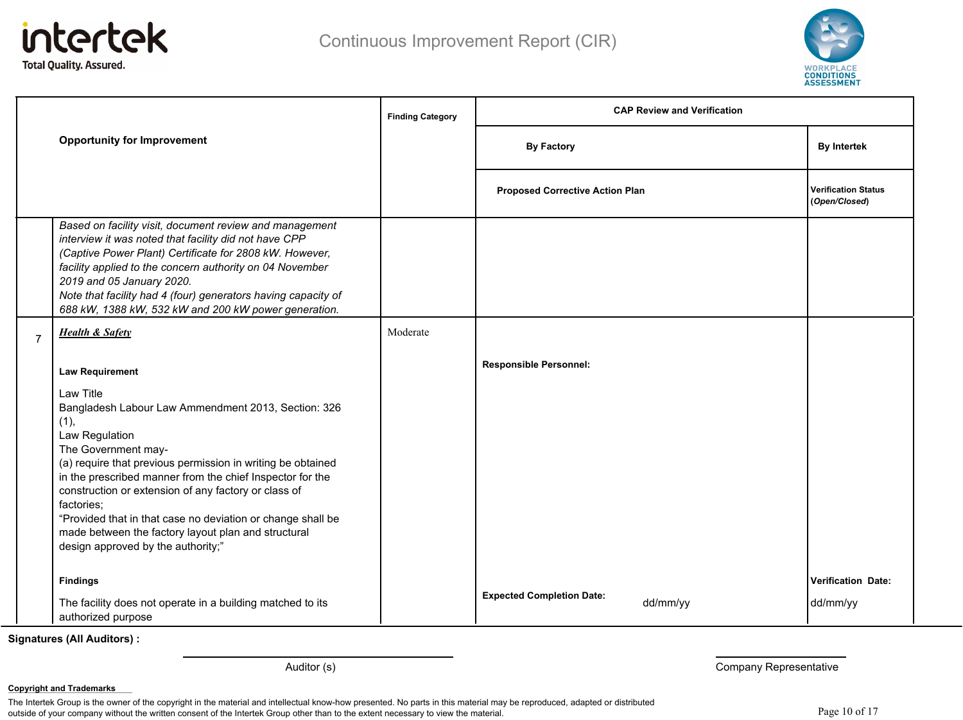



|                |                                                                                                                                                                                                                                                                                                                                                                                                                                                                                 | <b>Finding Category</b> | <b>CAP Review and Verification</b>           |                                             |
|----------------|---------------------------------------------------------------------------------------------------------------------------------------------------------------------------------------------------------------------------------------------------------------------------------------------------------------------------------------------------------------------------------------------------------------------------------------------------------------------------------|-------------------------|----------------------------------------------|---------------------------------------------|
|                | <b>Opportunity for Improvement</b>                                                                                                                                                                                                                                                                                                                                                                                                                                              |                         | <b>By Factory</b>                            | <b>By Intertek</b>                          |
|                |                                                                                                                                                                                                                                                                                                                                                                                                                                                                                 |                         | <b>Proposed Corrective Action Plan</b>       | <b>Verification Status</b><br>(Open/Closed) |
|                | Based on facility visit, document review and management<br>interview it was noted that facility did not have CPP<br>(Captive Power Plant) Certificate for 2808 kW. However,<br>facility applied to the concern authority on 04 November<br>2019 and 05 January 2020.<br>Note that facility had 4 (four) generators having capacity of<br>688 kW, 1388 kW, 532 kW and 200 kW power generation.                                                                                   |                         |                                              |                                             |
| $\overline{7}$ | <b>Health &amp; Safety</b>                                                                                                                                                                                                                                                                                                                                                                                                                                                      | Moderate                |                                              |                                             |
|                | <b>Law Requirement</b>                                                                                                                                                                                                                                                                                                                                                                                                                                                          |                         | <b>Responsible Personnel:</b>                |                                             |
|                | Law Title<br>Bangladesh Labour Law Ammendment 2013, Section: 326<br>(1),<br>Law Regulation<br>The Government may-<br>(a) require that previous permission in writing be obtained<br>in the prescribed manner from the chief Inspector for the<br>construction or extension of any factory or class of<br>factories:<br>"Provided that in that case no deviation or change shall be<br>made between the factory layout plan and structural<br>design approved by the authority;" |                         |                                              |                                             |
|                | <b>Findings</b><br>The facility does not operate in a building matched to its<br>authorized purpose                                                                                                                                                                                                                                                                                                                                                                             |                         | <b>Expected Completion Date:</b><br>dd/mm/yy | <b>Verification Date:</b><br>dd/mm/yy       |

Auditor (s) **Company Representative Company Representative** 

**Copyright and Trademarks**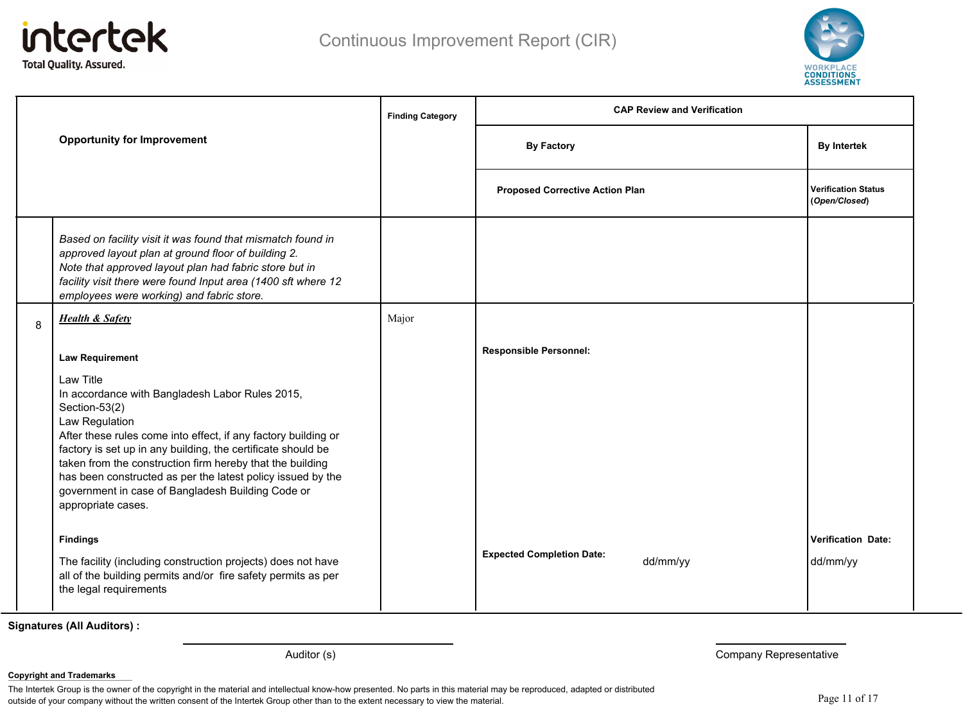



|   |                                                                                                                                                                                                                                                                                            | <b>Finding Category</b> | <b>CAP Review and Verification</b>           |                                             |
|---|--------------------------------------------------------------------------------------------------------------------------------------------------------------------------------------------------------------------------------------------------------------------------------------------|-------------------------|----------------------------------------------|---------------------------------------------|
|   | <b>Opportunity for Improvement</b>                                                                                                                                                                                                                                                         |                         | <b>By Factory</b>                            | <b>By Intertek</b>                          |
|   |                                                                                                                                                                                                                                                                                            |                         | <b>Proposed Corrective Action Plan</b>       | <b>Verification Status</b><br>(Open/Closed) |
|   | Based on facility visit it was found that mismatch found in<br>approved layout plan at ground floor of building 2.<br>Note that approved layout plan had fabric store but in<br>facility visit there were found Input area (1400 sft where 12<br>employees were working) and fabric store. |                         |                                              |                                             |
| 8 | <b>Health &amp; Safety</b>                                                                                                                                                                                                                                                                 | Major                   |                                              |                                             |
|   | <b>Law Requirement</b><br>Law Title                                                                                                                                                                                                                                                        |                         | <b>Responsible Personnel:</b>                |                                             |
|   | In accordance with Bangladesh Labor Rules 2015,<br>Section-53(2)<br>Law Regulation                                                                                                                                                                                                         |                         |                                              |                                             |
|   | After these rules come into effect, if any factory building or<br>factory is set up in any building, the certificate should be<br>taken from the construction firm hereby that the building                                                                                                |                         |                                              |                                             |
|   | has been constructed as per the latest policy issued by the<br>government in case of Bangladesh Building Code or<br>appropriate cases.                                                                                                                                                     |                         |                                              |                                             |
|   | <b>Findings</b>                                                                                                                                                                                                                                                                            |                         |                                              | Verification Date:                          |
|   | The facility (including construction projects) does not have<br>all of the building permits and/or fire safety permits as per<br>the legal requirements                                                                                                                                    |                         | <b>Expected Completion Date:</b><br>dd/mm/yy | dd/mm/yy                                    |

Auditor (s) **Auditor (s)** Company Representative

#### **Copyright and Trademarks**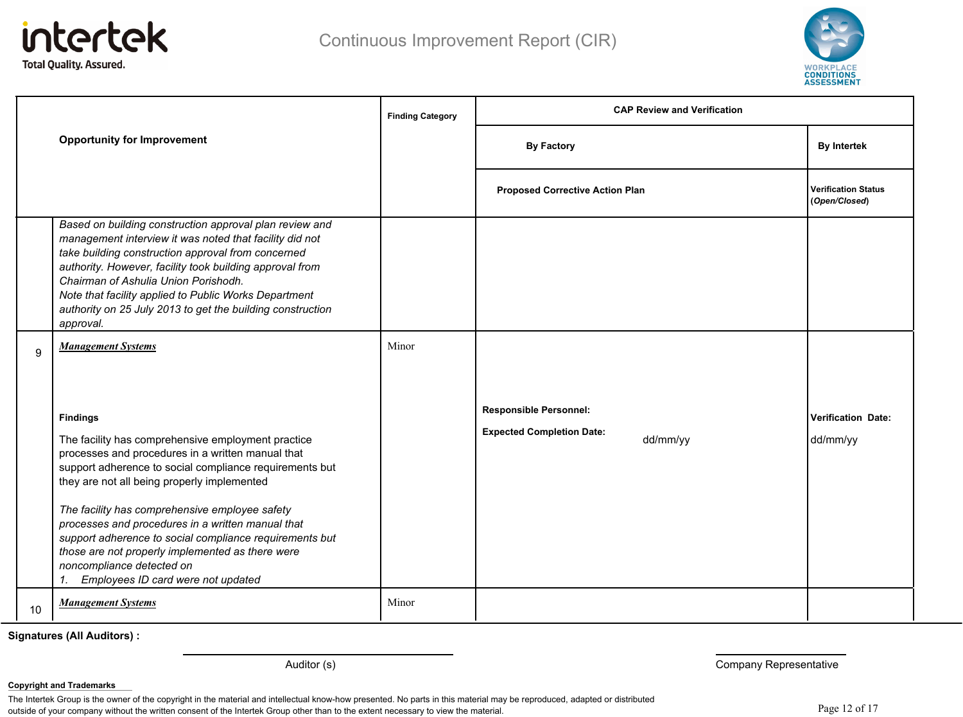



|    |                                                                                                                                                                                                                                                                                                                                                                                                                                                                                                                                     | <b>Finding Category</b> | <b>CAP Review and Verification</b>                                            |                                             |
|----|-------------------------------------------------------------------------------------------------------------------------------------------------------------------------------------------------------------------------------------------------------------------------------------------------------------------------------------------------------------------------------------------------------------------------------------------------------------------------------------------------------------------------------------|-------------------------|-------------------------------------------------------------------------------|---------------------------------------------|
|    | <b>Opportunity for Improvement</b>                                                                                                                                                                                                                                                                                                                                                                                                                                                                                                  |                         | <b>By Factory</b>                                                             | <b>By Intertek</b>                          |
|    |                                                                                                                                                                                                                                                                                                                                                                                                                                                                                                                                     |                         | <b>Proposed Corrective Action Plan</b>                                        | <b>Verification Status</b><br>(Open/Closed) |
|    | Based on building construction approval plan review and<br>management interview it was noted that facility did not<br>take building construction approval from concerned<br>authority. However, facility took building approval from<br>Chairman of Ashulia Union Porishodh.<br>Note that facility applied to Public Works Department<br>authority on 25 July 2013 to get the building construction<br>approval.                                                                                                                    |                         |                                                                               |                                             |
| 9  | <b>Management Systems</b>                                                                                                                                                                                                                                                                                                                                                                                                                                                                                                           | Minor                   |                                                                               |                                             |
|    | <b>Findings</b><br>The facility has comprehensive employment practice<br>processes and procedures in a written manual that<br>support adherence to social compliance requirements but<br>they are not all being properly implemented<br>The facility has comprehensive employee safety<br>processes and procedures in a written manual that<br>support adherence to social compliance requirements but<br>those are not properly implemented as there were<br>noncompliance detected on<br>Employees ID card were not updated<br>1. |                         | <b>Responsible Personnel:</b><br><b>Expected Completion Date:</b><br>dd/mm/yy | <b>Verification Date:</b><br>dd/mm/yy       |
| 10 | <b>Management Systems</b>                                                                                                                                                                                                                                                                                                                                                                                                                                                                                                           | Minor                   |                                                                               |                                             |

Auditor (s) **Company Representative Company Representative** 

#### **Copyright and Trademarks**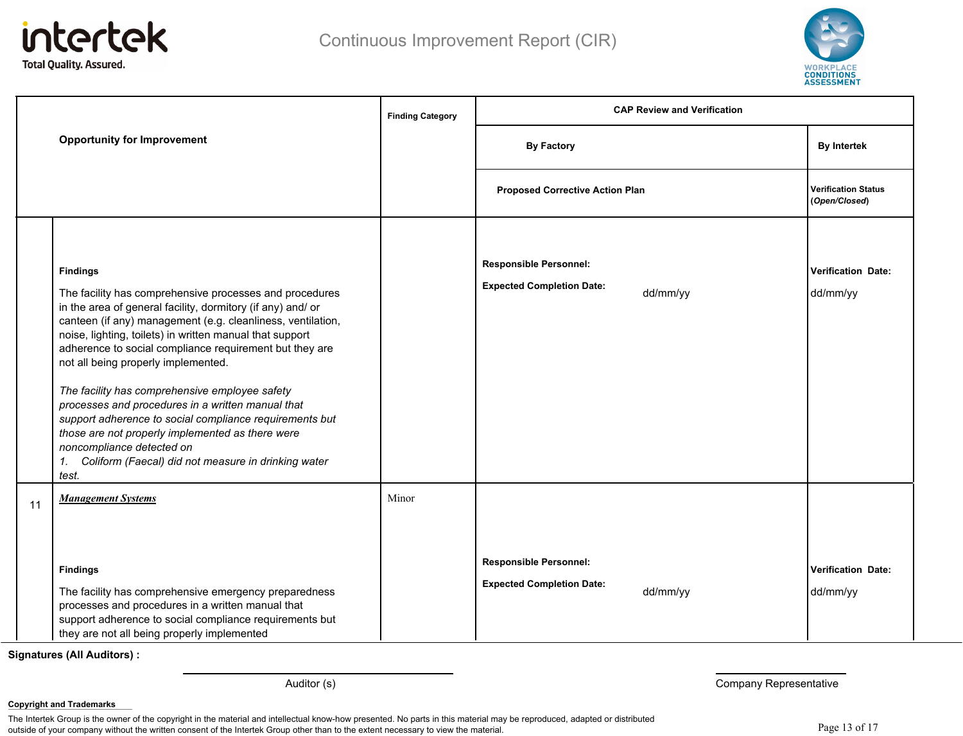



| <b>Opportunity for Improvement</b> |                                                                                                                                                                                                                                                                                                                                                                                                                                                                                                                                                                                                                                                                                              | <b>Finding Category</b> | <b>CAP Review and Verification</b>                                |          |                                             |
|------------------------------------|----------------------------------------------------------------------------------------------------------------------------------------------------------------------------------------------------------------------------------------------------------------------------------------------------------------------------------------------------------------------------------------------------------------------------------------------------------------------------------------------------------------------------------------------------------------------------------------------------------------------------------------------------------------------------------------------|-------------------------|-------------------------------------------------------------------|----------|---------------------------------------------|
|                                    |                                                                                                                                                                                                                                                                                                                                                                                                                                                                                                                                                                                                                                                                                              |                         | <b>By Factory</b>                                                 |          | <b>By Intertek</b>                          |
|                                    |                                                                                                                                                                                                                                                                                                                                                                                                                                                                                                                                                                                                                                                                                              |                         | <b>Proposed Corrective Action Plan</b>                            |          | <b>Verification Status</b><br>(Open/Closed) |
|                                    | <b>Findings</b><br>The facility has comprehensive processes and procedures<br>in the area of general facility, dormitory (if any) and/ or<br>canteen (if any) management (e.g. cleanliness, ventilation,<br>noise, lighting, toilets) in written manual that support<br>adherence to social compliance requirement but they are<br>not all being properly implemented.<br>The facility has comprehensive employee safety<br>processes and procedures in a written manual that<br>support adherence to social compliance requirements but<br>those are not properly implemented as there were<br>noncompliance detected on<br>1. Coliform (Faecal) did not measure in drinking water<br>test. |                         | <b>Responsible Personnel:</b><br><b>Expected Completion Date:</b> | dd/mm/yy | <b>Verification Date:</b><br>dd/mm/yy       |
| 11                                 | <b>Management Systems</b>                                                                                                                                                                                                                                                                                                                                                                                                                                                                                                                                                                                                                                                                    | Minor                   |                                                                   |          |                                             |
|                                    | <b>Findings</b><br>The facility has comprehensive emergency preparedness<br>processes and procedures in a written manual that<br>support adherence to social compliance requirements but<br>they are not all being properly implemented                                                                                                                                                                                                                                                                                                                                                                                                                                                      |                         | <b>Responsible Personnel:</b><br><b>Expected Completion Date:</b> | dd/mm/yy | <b>Verification Date:</b><br>dd/mm/yy       |

Auditor (s) **Auditor (s)** Company Representative

**Copyright and Trademarks**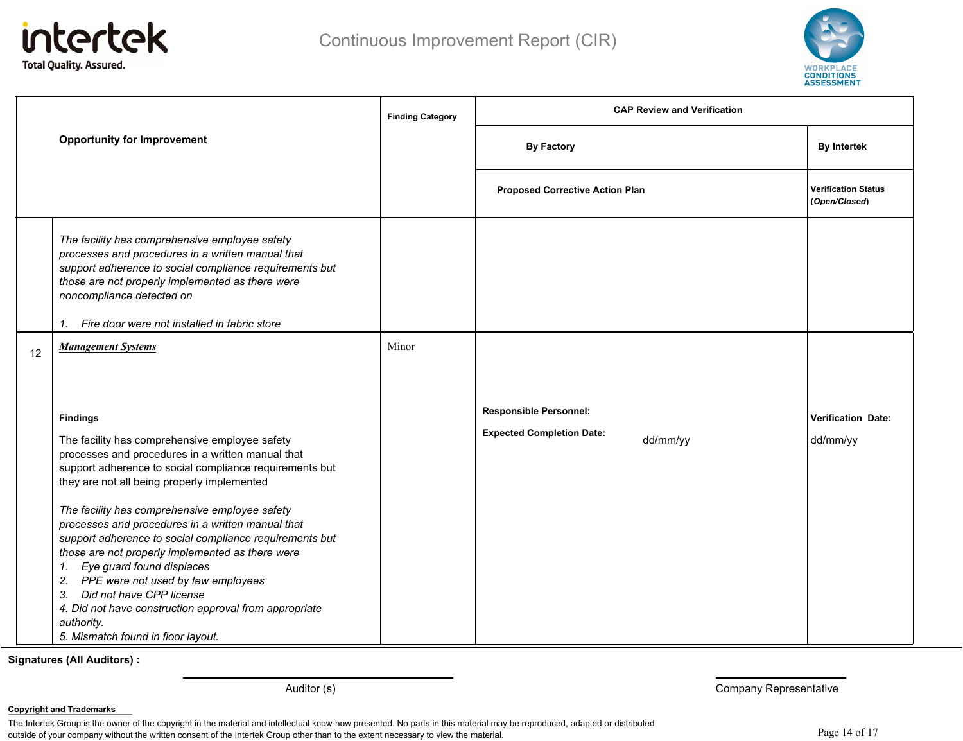



|    | <b>Opportunity for Improvement</b>                                                                                                                                                                                                                                                                                                                                                                                                                                                                                                                                                                                                                                           |       | <b>CAP Review and Verification</b><br><b>Finding Category</b>                 |                                             |  |
|----|------------------------------------------------------------------------------------------------------------------------------------------------------------------------------------------------------------------------------------------------------------------------------------------------------------------------------------------------------------------------------------------------------------------------------------------------------------------------------------------------------------------------------------------------------------------------------------------------------------------------------------------------------------------------------|-------|-------------------------------------------------------------------------------|---------------------------------------------|--|
|    |                                                                                                                                                                                                                                                                                                                                                                                                                                                                                                                                                                                                                                                                              |       | <b>By Factory</b>                                                             | <b>By Intertek</b>                          |  |
|    |                                                                                                                                                                                                                                                                                                                                                                                                                                                                                                                                                                                                                                                                              |       | <b>Proposed Corrective Action Plan</b>                                        | <b>Verification Status</b><br>(Open/Closed) |  |
|    | The facility has comprehensive employee safety<br>processes and procedures in a written manual that<br>support adherence to social compliance requirements but<br>those are not properly implemented as there were<br>noncompliance detected on<br>1. Fire door were not installed in fabric store                                                                                                                                                                                                                                                                                                                                                                           |       |                                                                               |                                             |  |
| 12 | <b>Management Systems</b>                                                                                                                                                                                                                                                                                                                                                                                                                                                                                                                                                                                                                                                    | Minor |                                                                               |                                             |  |
|    | <b>Findings</b><br>The facility has comprehensive employee safety<br>processes and procedures in a written manual that<br>support adherence to social compliance requirements but<br>they are not all being properly implemented<br>The facility has comprehensive employee safety<br>processes and procedures in a written manual that<br>support adherence to social compliance requirements but<br>those are not properly implemented as there were<br>1. Eye guard found displaces<br>2. PPE were not used by few employees<br>3. Did not have CPP license<br>4. Did not have construction approval from appropriate<br>authority.<br>5. Mismatch found in floor layout. |       | <b>Responsible Personnel:</b><br><b>Expected Completion Date:</b><br>dd/mm/yy | <b>Verification Date:</b><br>dd/mm/yy       |  |

Auditor (s) **Auditor (s)** Company Representative

**Copyright and Trademarks**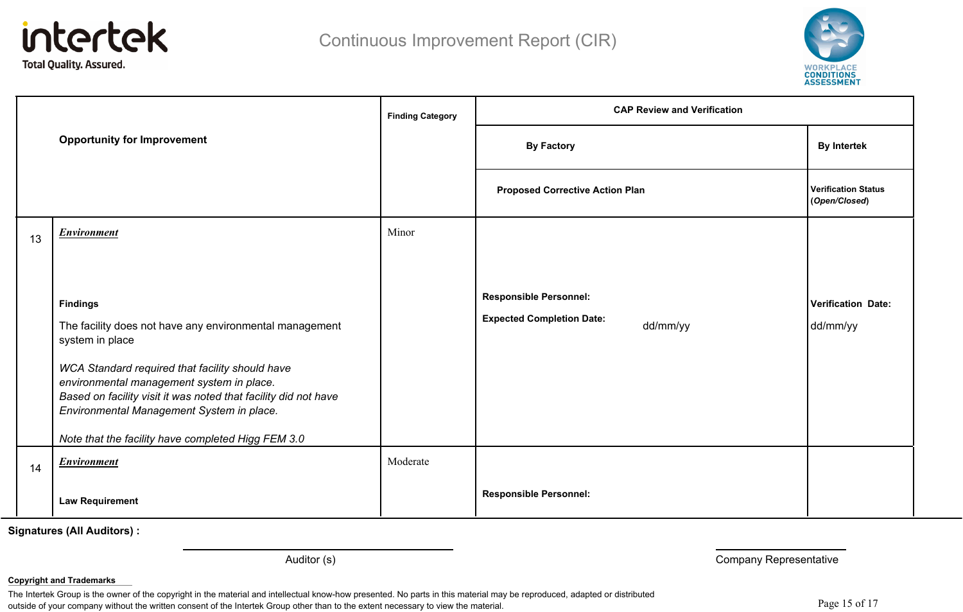



|    |                                                                                                                                                                                                              | <b>Finding Category</b> | <b>CAP Review and Verification</b>           |                                             |  |
|----|--------------------------------------------------------------------------------------------------------------------------------------------------------------------------------------------------------------|-------------------------|----------------------------------------------|---------------------------------------------|--|
|    | <b>Opportunity for Improvement</b>                                                                                                                                                                           |                         | <b>By Factory</b>                            | <b>By Intertek</b>                          |  |
|    |                                                                                                                                                                                                              |                         | <b>Proposed Corrective Action Plan</b>       | <b>Verification Status</b><br>(Open/Closed) |  |
| 13 | <b>Environment</b>                                                                                                                                                                                           | Minor                   |                                              |                                             |  |
|    |                                                                                                                                                                                                              |                         |                                              |                                             |  |
|    | <b>Findings</b>                                                                                                                                                                                              |                         | <b>Responsible Personnel:</b>                | <b>Verification Date:</b>                   |  |
|    | The facility does not have any environmental management<br>system in place                                                                                                                                   |                         | <b>Expected Completion Date:</b><br>dd/mm/yy | dd/mm/yy                                    |  |
|    | WCA Standard required that facility should have<br>environmental management system in place.<br>Based on facility visit it was noted that facility did not have<br>Environmental Management System in place. |                         |                                              |                                             |  |
|    | Note that the facility have completed Higg FEM 3.0                                                                                                                                                           |                         |                                              |                                             |  |
| 14 | Environment                                                                                                                                                                                                  | Moderate                |                                              |                                             |  |
|    | <b>Law Requirement</b>                                                                                                                                                                                       |                         | <b>Responsible Personnel:</b>                |                                             |  |

Auditor (s) **Company Representative Company Representative** 

#### **Copyright and Trademarks**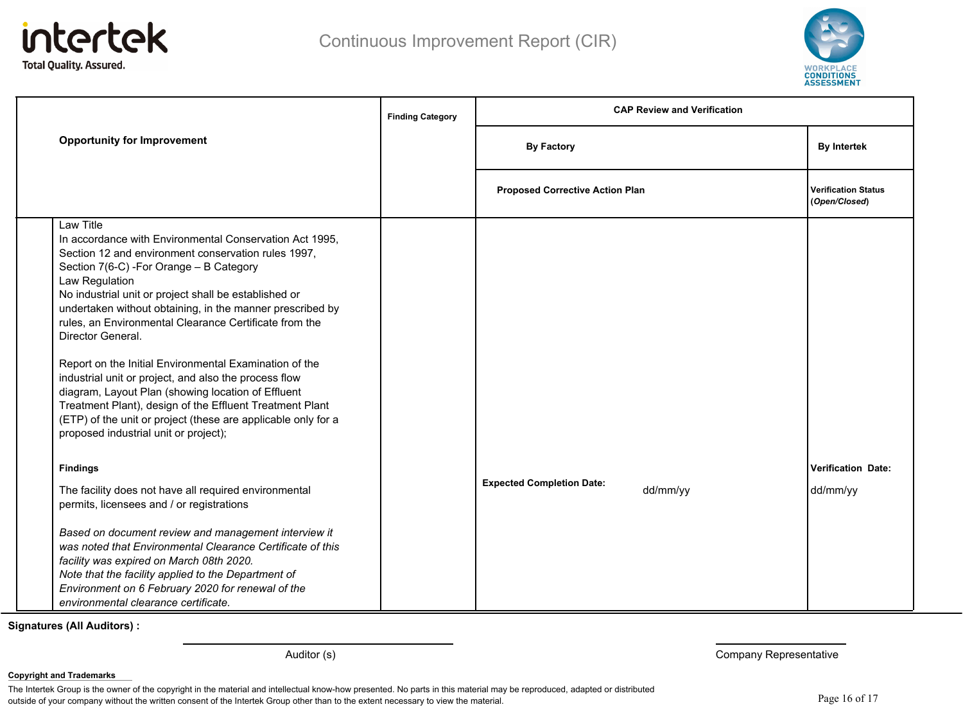



|                                                                                                                                                                                                                                                                                                                                                                                                                                                                                                                                                                                                                                                                                                                                                                                                                                                                                                                                                                                                                                          | <b>Finding Category</b> | <b>CAP Review and Verification</b>           |                                             |
|------------------------------------------------------------------------------------------------------------------------------------------------------------------------------------------------------------------------------------------------------------------------------------------------------------------------------------------------------------------------------------------------------------------------------------------------------------------------------------------------------------------------------------------------------------------------------------------------------------------------------------------------------------------------------------------------------------------------------------------------------------------------------------------------------------------------------------------------------------------------------------------------------------------------------------------------------------------------------------------------------------------------------------------|-------------------------|----------------------------------------------|---------------------------------------------|
| <b>Opportunity for Improvement</b>                                                                                                                                                                                                                                                                                                                                                                                                                                                                                                                                                                                                                                                                                                                                                                                                                                                                                                                                                                                                       |                         | <b>By Factory</b>                            | <b>By Intertek</b>                          |
|                                                                                                                                                                                                                                                                                                                                                                                                                                                                                                                                                                                                                                                                                                                                                                                                                                                                                                                                                                                                                                          |                         | <b>Proposed Corrective Action Plan</b>       | <b>Verification Status</b><br>(Open/Closed) |
| Law Title<br>In accordance with Environmental Conservation Act 1995,<br>Section 12 and environment conservation rules 1997,<br>Section 7(6-C) - For Orange - B Category<br>Law Regulation<br>No industrial unit or project shall be established or<br>undertaken without obtaining, in the manner prescribed by<br>rules, an Environmental Clearance Certificate from the<br>Director General.<br>Report on the Initial Environmental Examination of the<br>industrial unit or project, and also the process flow<br>diagram, Layout Plan (showing location of Effluent<br>Treatment Plant), design of the Effluent Treatment Plant<br>(ETP) of the unit or project (these are applicable only for a<br>proposed industrial unit or project);<br><b>Findings</b><br>The facility does not have all required environmental<br>permits, licensees and / or registrations<br>Based on document review and management interview it<br>was noted that Environmental Clearance Certificate of this<br>facility was expired on March 08th 2020. |                         | <b>Expected Completion Date:</b><br>dd/mm/yy | <b>Verification Date:</b><br>dd/mm/yy       |
| Note that the facility applied to the Department of<br>Environment on 6 February 2020 for renewal of the<br>environmental clearance certificate.                                                                                                                                                                                                                                                                                                                                                                                                                                                                                                                                                                                                                                                                                                                                                                                                                                                                                         |                         |                                              |                                             |

Auditor (s) **Company Representative Company Representative** 

**Copyright and Trademarks**